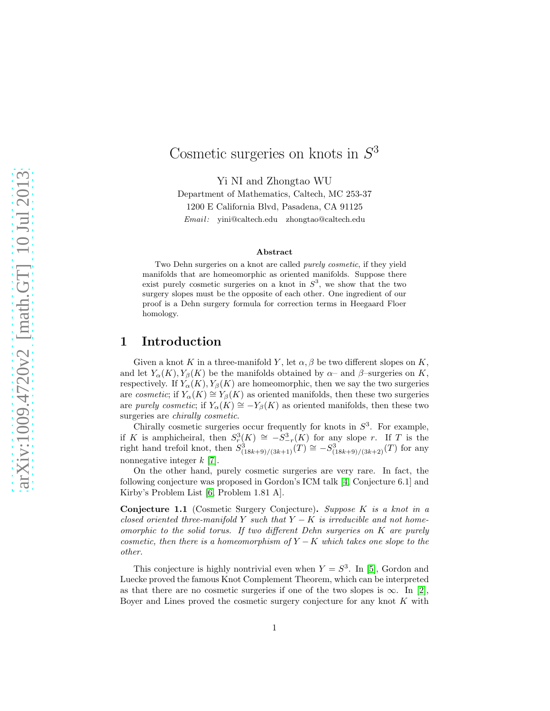# Cosmetic surgeries on knots in  $S^3$

Yi NI and Zhongtao WU

Department of Mathematics, Caltech, MC 253-37 1200 E California Blvd, Pasadena, CA 91125 Email: yini@caltech.edu zhongtao@caltech.edu

#### Abstract

Two Dehn surgeries on a knot are called purely cosmetic, if they yield manifolds that are homeomorphic as oriented manifolds. Suppose there exist purely cosmetic surgeries on a knot in  $S^3$ , we show that the two surgery slopes must be the opposite of each other. One ingredient of our proof is a Dehn surgery formula for correction terms in Heegaard Floer homology.

## 1 Introduction

Given a knot K in a three-manifold Y, let  $\alpha, \beta$  be two different slopes on K, and let  $Y_{\alpha}(K)$ ,  $Y_{\beta}(K)$  be the manifolds obtained by  $\alpha$ – and  $\beta$ –surgeries on K, respectively. If  $Y_{\alpha}(K)$ ,  $Y_{\beta}(K)$  are homeomorphic, then we say the two surgeries are cosmetic; if  $Y_\alpha(K) \cong Y_\beta(K)$  as oriented manifolds, then these two surgeries are purely cosmetic; if  $Y_\alpha(K) \cong -Y_\beta(K)$  as oriented manifolds, then these two surgeries are *chirally cosmetic*.

Chirally cosmetic surgeries occur frequently for knots in  $S<sup>3</sup>$ . For example, if K is amphicheiral, then  $S_r^3(K) \cong -S_{-r}^3(K)$  for any slope r. If T is the right hand trefoil knot, then  $S^3_{(18k+9)/(3k+1)}(T) \cong -S^3_{(18k+9)/(3k+2)}(T)$  for any nonnegative integer k [\[7\]](#page-17-0).

On the other hand, purely cosmetic surgeries are very rare. In fact, the following conjecture was proposed in Gordon's ICM talk [\[4,](#page-17-1) Conjecture 6.1] and Kirby's Problem List [\[6,](#page-17-2) Problem 1.81 A].

<span id="page-0-0"></span>Conjecture 1.1 (Cosmetic Surgery Conjecture). Suppose K is a knot in a closed oriented three-manifold Y such that  $Y - K$  is irreducible and not homeomorphic to the solid torus. If two different Dehn surgeries on  $K$  are purely cosmetic, then there is a homeomorphism of  $Y - K$  which takes one slope to the other.

This conjecture is highly nontrivial even when  $Y = S^3$ . In [\[5\]](#page-17-3), Gordon and Luecke proved the famous Knot Complement Theorem, which can be interpreted as that there are no cosmetic surgeries if one of the two slopes is  $\infty$ . In [\[2\]](#page-17-4), Boyer and Lines proved the cosmetic surgery conjecture for any knot  $K$  with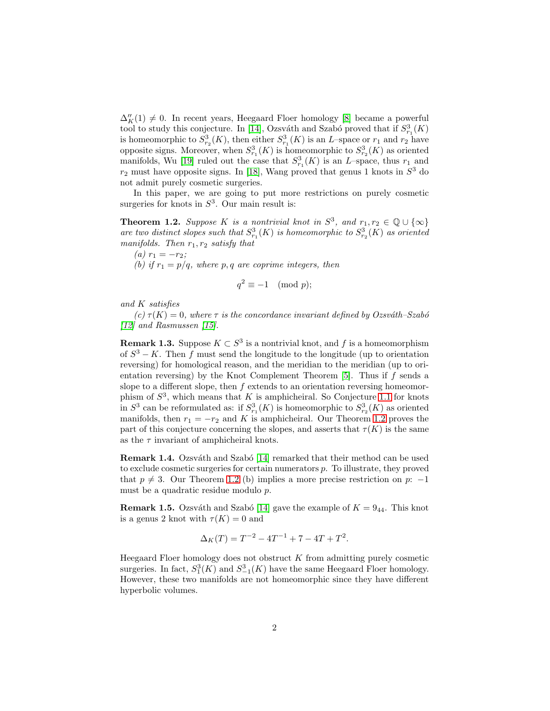$\Delta''_K(1) \neq 0$  . In recent years, Heegaard Floer homology [\[8\]](#page-17-5) became a powerful tool to study this conjecture. In [\[14\]](#page-17-6), Ozsváth and Szabó proved that if  $S^3_{r_1}(K)$ is homeomorphic to  $S^3_{r_2}(K)$ , then either  $S^3_{r_1}(K)$  is an L-space or  $r_1$  and  $r_2$  have opposite signs. Moreover, when  $S^3_{r_1}(K)$  is homeomorphic to  $S^3_{r_2}(K)$  as oriented manifolds, Wu [\[19\]](#page-18-0) ruled out the case that  $S^3_{r_1}(K)$  is an L-space, thus  $r_1$  and  $r_2$  must have opposite signs. In [\[18\]](#page-18-1), Wang proved that genus 1 knots in  $S^3$  do not admit purely cosmetic surgeries.

In this paper, we are going to put more restrictions on purely cosmetic surgeries for knots in  $S^3$ . Our main result is:

<span id="page-1-0"></span>**Theorem 1.2.** Suppose K is a nontrivial knot in  $S^3$ , and  $r_1, r_2 \in \mathbb{Q} \cup \{\infty\}$ are two distinct slopes such that  $S^3_{r_1}(K)$  is homeomorphic to  $S^3_{r_2}(K)$  as oriented manifolds. Then  $r_1, r_2$  satisfy that

(a)  $r_1 = -r_2;$ (b) if  $r_1 = p/q$ , where p, q are coprime integers, then

$$
q^2 \equiv -1 \pmod{p};
$$

and K satisfies

 $(c) \tau(K) = 0$ , where  $\tau$  is the concordance invariant defined by Ozsváth–Szabó [\[12\]](#page-17-7) and Rasmussen [\[15\]](#page-18-2).

**Remark 1.3.** Suppose  $K \subset S^3$  is a nontrivial knot, and f is a homeomorphism of  $S^3 - K$ . Then f must send the longitude to the longitude (up to orientation reversing) for homological reason, and the meridian to the meridian (up to orientation reversing) by the Knot Complement Theorem  $[5]$ . Thus if f sends a slope to a different slope, then  $f$  extends to an orientation reversing homeomorphism of  $S^3$ , which means that K is amphicheiral. So Conjecture [1.1](#page-0-0) for knots in  $S^3$  can be reformulated as: if  $S^3_{r_1}(K)$  is homeomorphic to  $S^3_{r_2}(K)$  as oriented manifolds, then  $r_1 = -r_2$  and K is amphicheiral. Our Theorem [1.2](#page-1-0) proves the part of this conjecture concerning the slopes, and asserts that  $\tau(K)$  is the same as the  $\tau$  invariant of amphicheiral knots.

**Remark 1.4.** Ozsváth and Szabó [\[14\]](#page-17-6) remarked that their method can be used to exclude cosmetic surgeries for certain numerators p. To illustrate, they proved that  $p \neq 3$ . Our Theorem [1.2](#page-1-0) (b) implies a more precise restriction on p: -1 must be a quadratic residue modulo p.

**Remark 1.5.** Ozsváth and Szabó [\[14\]](#page-17-6) gave the example of  $K = 9_{44}$ . This knot is a genus 2 knot with  $\tau(K) = 0$  and

$$
\Delta_K(T) = T^{-2} - 4T^{-1} + 7 - 4T + T^2.
$$

Heegaard Floer homology does not obstruct  $K$  from admitting purely cosmetic surgeries. In fact,  $S_1^3(K)$  and  $S_{-1}^3(K)$  have the same Heegaard Floer homology. However, these two manifolds are not homeomorphic since they have different hyperbolic volumes.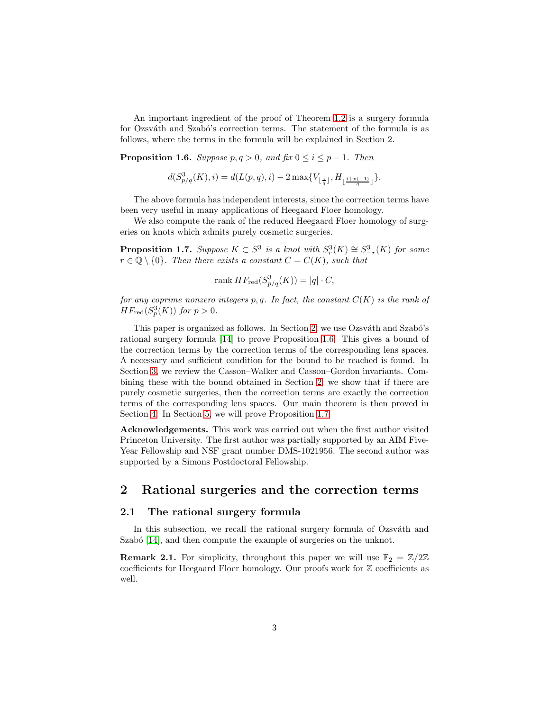An important ingredient of the proof of Theorem [1.2](#page-1-0) is a surgery formula for Ozsváth and Szabó's correction terms. The statement of the formula is as follows, where the terms in the formula will be explained in Section 2.

<span id="page-2-1"></span>**Proposition 1.6.** Suppose  $p, q > 0$ , and  $\text{fix } 0 \leq i \leq p - 1$ . Then

$$
d(S_{p/q}^3(K), i) = d(L(p, q), i) - 2 \max\{V_{\lfloor \frac{i}{q} \rfloor}, H_{\lfloor \frac{i+p(-1)}{q} \rfloor}\}.
$$

The above formula has independent interests, since the correction terms have been very useful in many applications of Heegaard Floer homology.

We also compute the rank of the reduced Heegaard Floer homology of surgeries on knots which admits purely cosmetic surgeries.

<span id="page-2-2"></span>**Proposition 1.7.** Suppose  $K \subset S^3$  is a knot with  $S^3_r(K) \cong S^3_{-r}(K)$  for some  $r \in \mathbb{Q} \setminus \{0\}$ . Then there exists a constant  $C = C(K)$ , such that

$$
rank HF_{red}(S^3_{p/q}(K)) = |q| \cdot C,
$$

for any coprime nonzero integers p, q. In fact, the constant  $C(K)$  is the rank of  $HF_{\text{red}}(S_p^3(K))$  for  $p > 0$ .

This paper is organized as follows. In Section [2,](#page-2-0) we use Ozsváth and Szabó's rational surgery formula [\[14\]](#page-17-6) to prove Proposition [1.6.](#page-2-1) This gives a bound of the correction terms by the correction terms of the corresponding lens spaces. A necessary and sufficient condition for the bound to be reached is found. In Section [3,](#page-8-0) we review the Casson–Walker and Casson–Gordon invariants. Combining these with the bound obtained in Section [2,](#page-2-0) we show that if there are purely cosmetic surgeries, then the correction terms are exactly the correction terms of the corresponding lens spaces. Our main theorem is then proved in Section [4.](#page-13-0) In Section [5,](#page-13-1) we will prove Proposition [1.7.](#page-2-2)

Acknowledgements. This work was carried out when the first author visited Princeton University. The first author was partially supported by an AIM Five-Year Fellowship and NSF grant number DMS-1021956. The second author was supported by a Simons Postdoctoral Fellowship.

# <span id="page-2-0"></span>2 Rational surgeries and the correction terms

#### 2.1 The rational surgery formula

In this subsection, we recall the rational surgery formula of Ozsváth and Szabó  $[14]$ , and then compute the example of surgeries on the unknot.

**Remark 2.1.** For simplicity, throughout this paper we will use  $\mathbb{F}_2 = \mathbb{Z}/2\mathbb{Z}$ coefficients for Heegaard Floer homology. Our proofs work for Z coefficients as well.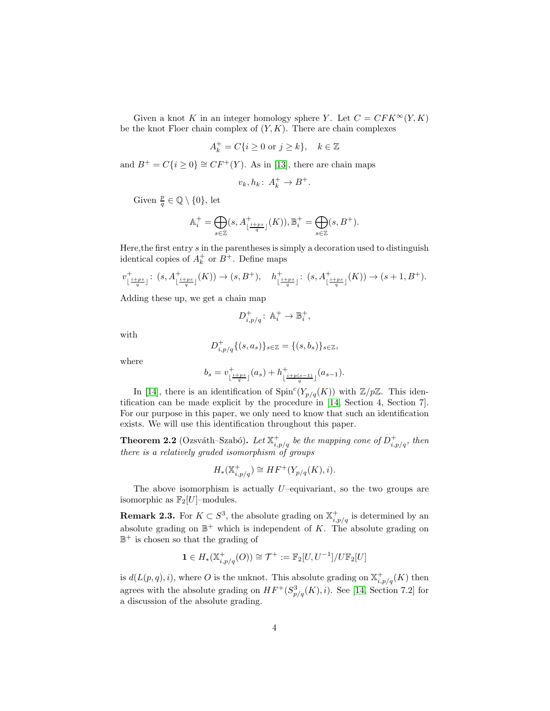Given a knot K in an integer homology sphere Y. Let  $C = CFK^{\infty}(Y, K)$ be the knot Floer chain complex of  $(Y, K)$ . There are chain complexes

$$
A_k^+ = C\{i \ge 0 \text{ or } j \ge k\}, \quad k \in \mathbb{Z}
$$

and  $B^+ = C\{i \geq 0\} \cong CF^+(Y)$ . As in [\[13\]](#page-17-8), there are chain maps

$$
v_k, h_k: A_k^+ \to B^+.
$$

Given  $\frac{p}{q} \in \mathbb{Q} \setminus \{0\}$ , let

$$
\mathbb{A}_i^+ = \bigoplus_{s \in \mathbb{Z}} (s, A_{\lfloor \frac{i + ps}{q} \rfloor}^+(K)), \mathbb{B}_i^+ = \bigoplus_{s \in \mathbb{Z}} (s, B^+).
$$

Here, the first entry  $s$  in the parentheses is simply a decoration used to distinguish identical copies of  $A_k^+$  or  $B^+$ . Define maps

$$
v^+_{\lfloor\frac{i+ps}{q}\rfloor}\colon\thinspace (s,A^+_{\lfloor\frac{i+ps}{q}\rfloor}(K))\to (s,B^+),\quad h^+_{\lfloor\frac{i+ps}{q}\rfloor}\colon\thinspace (s,A^+_{\lfloor\frac{i+ps}{q}\rfloor}(K))\to (s+1,B^+).
$$

Adding these up, we get a chain map

$$
D^+_{i,p/q}\colon\operatorname{\mathbb{A}}^+_i\to\operatorname{\mathbb{B}}^+_i,
$$

with

$$
D_{i,p/q}^+\{(s,a_s)\}_{s\in\mathbb{Z}} = \{(s,b_s)\}_{s\in\mathbb{Z}},
$$

where

$$
b_s = v^+_{\lfloor \frac{i+ps}{q}\rfloor}(a_s) + h^+_{\lfloor \frac{i+p(s-1)}{q}\rfloor}(a_{s-1}).
$$

In [\[14\]](#page-17-6), there is an identification of  $\text{Spin}^c(Y_{p/q}(K))$  with  $\mathbb{Z}/p\mathbb{Z}$ . This identification can be made explicit by the procedure in [\[14,](#page-17-6) Section 4, Section 7]. For our purpose in this paper, we only need to know that such an identification exists. We will use this identification throughout this paper.

<span id="page-3-0"></span>**Theorem 2.2** (Ozsváth–Szabó). Let  $\mathbb{X}_{i,p/q}^+$  be the mapping cone of  $D_{i,p/q}^+$ , then there is a relatively graded isomorphism of groups

$$
H_*(\mathbb{X}_{i,p/q}^+) \cong HF^+(Y_{p/q}(K), i).
$$

The above isomorphism is actually  $U$ –equivariant, so the two groups are isomorphic as  $\mathbb{F}_2[U]$ -modules.

<span id="page-3-1"></span>**Remark 2.3.** For  $K \subset S^3$ , the absolute grading on  $\mathbb{X}_{i,p/q}^+$  is determined by an absolute grading on  $\mathbb{B}^+$  which is independent of K. The absolute grading on  $\mathbb{B}^+$  is chosen so that the grading of

$$
\mathbf{1} \in H_*(\mathbb{X}_{i,p/q}^+(O)) \cong \mathcal{T}^+ := \mathbb{F}_2[U, U^{-1}]/U\mathbb{F}_2[U]
$$

is  $d(L(p,q), i)$ , where O is the unknot. This absolute grading on  $\mathbb{X}_{i,p/q}^+(K)$  then agrees with the absolute grading on  $HF^+(S^3_{p/q}(K), i)$ . See [\[14,](#page-17-6) Section 7.2] for a discussion of the absolute grading.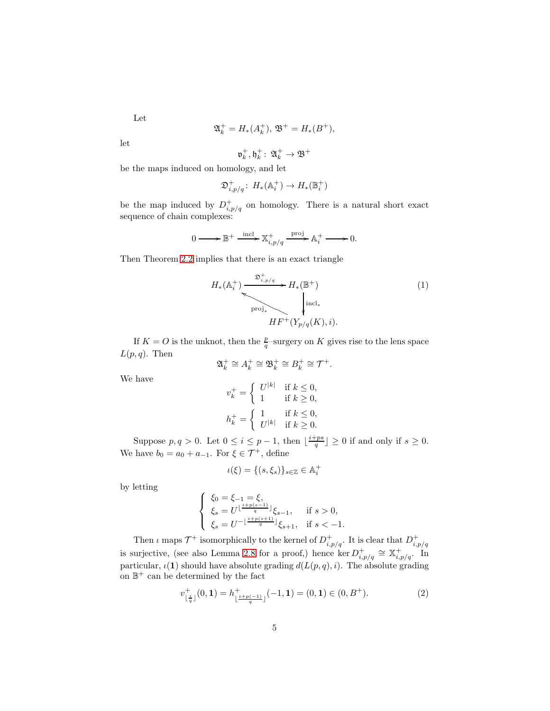Let

$$
\mathfrak{A}_k^+ = H_*(A_k^+), \mathfrak{B}^+ = H_*(B^+),
$$

let

$$
\mathfrak{v}^+_k, \mathfrak{h}^+_k\colon\thinspace \mathfrak{A}^+_k\to \mathfrak{B}^+
$$

be the maps induced on homology, and let

$$
\mathfrak{D}_{i,p/q}^+ : H_*(\mathbb{A}_i^+) \to H_*(\mathbb{B}_i^+)
$$

be the map induced by  $D^+_{i,p/q}$  on homology. There is a natural short exact sequence of chain complexes:

$$
0 \longrightarrow \mathbb{B}^+ \xrightarrow{\text{incl}} \mathbb{X}^+_{i,p/q} \xrightarrow{\text{proj}} \mathbb{A}_i^+ \longrightarrow 0.
$$

Then Theorem [2.2](#page-3-0) implies that there is an exact triangle

<span id="page-4-0"></span>
$$
H_{*}(\mathbb{A}_{i}^{+}) \xrightarrow{\mathfrak{D}_{i,p/q}^{+}} H_{*}(\mathbb{B}^{+})
$$
\n
$$
\downarrow \text{incl}_{*}
$$
\n
$$
HF^{+}(Y_{p/q}(K), i).
$$
\n
$$
(1)
$$

If  $K = O$  is the unknot, then the  $\frac{p}{q}$ -surgery on K gives rise to the lens space  $L(p,q)$ . Then

$$
\mathfrak{A}_k^+ \cong A_k^+ \cong \mathfrak{B}_k^+ \cong B_k^+ \cong \mathcal{T}^+.
$$

We have

$$
\begin{aligned} v_k^+ &= \left\{ \begin{array}{ll} U^{|k|} & \text{if } k \leq 0, \\ 1 & \text{if } k \geq 0, \end{array} \right. \\ h_k^+ &= \left\{ \begin{array}{ll} 1 & \text{if } k \leq 0, \\ U^{|k|} & \text{if } k \geq 0. \end{array} \right. \end{aligned}
$$

Suppose  $p, q > 0$ . Let  $0 \le i \le p-1$ , then  $\lfloor \frac{i+ps}{q} \rfloor \ge 0$  if and only if  $s \ge 0$ . We have  $b_0 = a_0 + a_{-1}$ . For  $\xi \in \mathcal{T}^+$ , define

$$
\iota(\xi) = \{(s, \xi_s)\}_{s \in \mathbb{Z}} \in \mathbb{A}_i^+
$$

by letting

$$
\left\{ \begin{array}{l} \xi_0=\xi_{-1}=\xi,\\ \xi_s=U^{\lfloor\frac{i+p(s-1)}{q}\rfloor}\xi_{s-1},\quad \text{ if } s>0,\\ \xi_s=U^{-\lfloor\frac{i+p(s+1)}{q}\rfloor}\xi_{s+1},\ \text{ if } s<-1. \end{array} \right.
$$

Then  $\iota$  maps  $\mathcal{T}^+$  isomorphically to the kernel of  $D^+_{i,p/q}$ . It is clear that  $D^+_{i,p/q}$ is surjective, (see also Lemma [2.8](#page-6-0) for a proof,) hence ker  $D_{i,p/q}^+ \cong \mathbb{X}_{i,p/q}^+$ . In particular,  $\iota(\mathbf{1})$  should have absolute grading  $d(L(p,q), i)$ . The absolute grading on  $\mathbb{B}^+$  can be determined by the fact

<span id="page-4-1"></span>
$$
v_{\lfloor \frac{i}{q} \rfloor}^+(0,1) = h_{\lfloor \frac{i+p(-1)}{q} \rfloor}^+(-1,1) = (0,1) \in (0,B^+).
$$
 (2)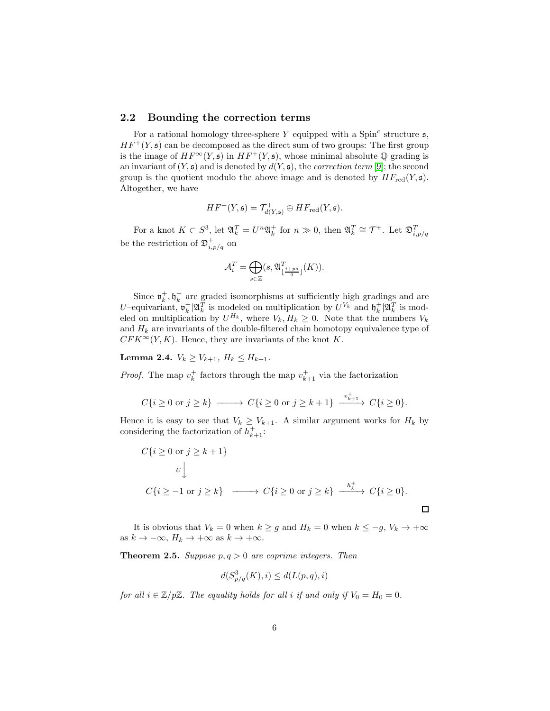#### 2.2 Bounding the correction terms

For a rational homology three-sphere Y equipped with a Spin<sup>c</sup> structure  $\mathfrak{s}$ ,  $HF^+(Y, \mathfrak{s})$  can be decomposed as the direct sum of two groups: The first group is the image of  $HF^{\infty}(Y, \mathfrak{s})$  in  $HF^+(Y, \mathfrak{s})$ , whose minimal absolute  $\mathbb{Q}$  grading is an invariant of  $(Y, \mathfrak{s})$  and is denoted by  $d(Y, \mathfrak{s})$ , the *correction term* [\[9\]](#page-17-9); the second group is the quotient modulo the above image and is denoted by  $HF_{red}(Y, \mathfrak{s})$ . Altogether, we have

$$
HF^+(Y, \mathfrak{s}) = \mathcal{T}^+_{d(Y, \mathfrak{s})} \oplus HF_{\text{red}}(Y, \mathfrak{s}).
$$

For a knot  $K \subset S^3$ , let  $\mathfrak{A}_k^T = U^n \mathfrak{A}_k^+$  for  $n \gg 0$ , then  $\mathfrak{A}_k^T \cong \mathcal{T}^+$ . Let  $\mathfrak{D}_{i,p/q}^T$ be the restriction of  $\mathfrak{D}^+_{i,p/q}$  on

$$
\mathcal{A}_i^T = \bigoplus_{s \in \mathbb{Z}} (s, \mathfrak{A}^T_{\lfloor \frac{i+ps}{q} \rfloor}(K)).
$$

Since  $\mathfrak{v}_k^+$ ,  $\mathfrak{h}_k^+$  are graded isomorphisms at sufficiently high gradings and are U-equivariant,  $\mathfrak{v}_k^+ | \mathfrak{A}_k^T$  is modeled on multiplication by  $U^{V_k}$  and  $\mathfrak{h}_k^+ | \mathfrak{A}_k^T$  is modeled on multiplication by  $U^{H_k}$ , where  $V_k, H_k \geq 0$ . Note that the numbers  $V_k$ and  $H_k$  are invariants of the double-filtered chain homotopy equivalence type of  $CFK^{\infty}(Y, K)$ . Hence, they are invariants of the knot K.

<span id="page-5-1"></span>Lemma 2.4.  $V_k \geq V_{k+1}$ ,  $H_k \leq H_{k+1}$ .

*Proof.* The map  $v_k^+$  factors through the map  $v_{k+1}^+$  via the factorization

$$
C\{i \ge 0 \text{ or } j \ge k\} \longrightarrow C\{i \ge 0 \text{ or } j \ge k+1\} \xrightarrow{v_{k+1}^+} C\{i \ge 0\}.
$$

Hence it is easy to see that  $V_k \geq V_{k+1}$ . A similar argument works for  $H_k$  by considering the factorization of  $h_{k+1}^+$ :

$$
C\{i \ge 0 \text{ or } j \ge k+1\}
$$
  

$$
U \downarrow
$$
  

$$
C\{i \ge -1 \text{ or } j \ge k\} \longrightarrow C\{i \ge 0 \text{ or } j \ge k\} \longrightarrow \frac{h_k^+}{\longrightarrow C\{i \ge 0\}}.
$$

It is obvious that  $V_k = 0$  when  $k \ge g$  and  $H_k = 0$  when  $k \le -g$ ,  $V_k \to +\infty$ as  $k \to -\infty$ ,  $H_k \to +\infty$  as  $k \to +\infty$ .

<span id="page-5-0"></span>**Theorem 2.5.** Suppose  $p, q > 0$  are coprime integers. Then

$$
d(S_{p/q}^3(K), i) \le d(L(p, q), i)
$$

for all  $i \in \mathbb{Z}/p\mathbb{Z}$ . The equality holds for all i if and only if  $V_0 = H_0 = 0$ .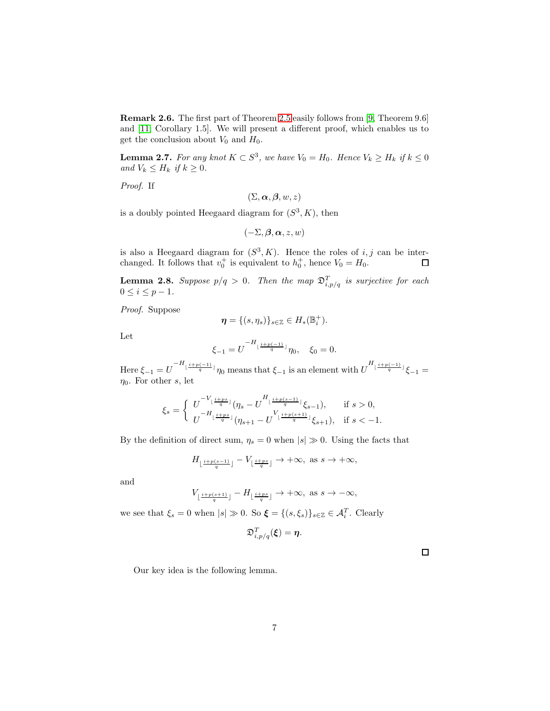Remark 2.6. The first part of Theorem [2.5](#page-5-0) easily follows from [\[9,](#page-17-9) Theorem 9.6] and [\[11,](#page-17-10) Corollary 1.5]. We will present a different proof, which enables us to get the conclusion about  $V_0$  and  $H_0$ .

<span id="page-6-1"></span>**Lemma 2.7.** For any knot  $K \subset S^3$ , we have  $V_0 = H_0$ . Hence  $V_k \geq H_k$  if  $k \leq 0$ and  $V_k \leq H_k$  if  $k \geq 0$ .

Proof. If

 $(\Sigma, \boldsymbol{\alpha}, \boldsymbol{\beta}, w, z)$ 

is a doubly pointed Heegaard diagram for  $(S^3, K)$ , then

$$
(-\Sigma,\boldsymbol{\beta},\boldsymbol{\alpha},z,w)
$$

is also a Heegaard diagram for  $(S^3, K)$ . Hence the roles of i, j can be interchanged. It follows that  $v_0^+$  is equivalent to  $h_0^+$ , hence  $V_0 = H_0$ .  $\Box$ 

<span id="page-6-0"></span>**Lemma 2.8.** Suppose  $p/q > 0$ . Then the map  $\mathfrak{D}_{i,p/q}^T$  is surjective for each  $0 \leq i \leq p-1$ .

Proof. Suppose

$$
\boldsymbol{\eta} = \{ (s, \eta_s) \}_{s \in \mathbb{Z}} \in H_*(\mathbb{B}_i^+).
$$

Let

$$
\xi_{-1} = U^{-H_{\lfloor \frac{i+p(-1)}{q} \rfloor}} \eta_0, \quad \xi_0 = 0.
$$

Here  $\xi_{-1} = U^{-H_{\lfloor \frac{i+p(-1)}{q} \rfloor}} \eta_0$  means that  $\xi_{-1}$  is an element with  $U^{H_{\lfloor \frac{i+p(-1)}{q} \rfloor}} \xi_{-1} =$  $\eta_0$ . For other s, let

$$
\xi_s = \begin{cases} U^{-V_{\lfloor \frac{i+ps}{q} \rfloor}}(\eta_s - U^{H_{\lfloor \frac{i+ps}{q} \rfloor}}(\xi_{s-1}), & \text{if } s > 0, \\ U^{-H_{\lfloor \frac{i+ps}{q} \rfloor}}(\eta_{s+1} - U^{V_{\lfloor \frac{i+ps}{q} \rfloor}}(\xi_{s+1}), & \text{if } s < -1. \end{cases}
$$

By the definition of direct sum,  $\eta_s = 0$  when  $|s| \gg 0$ . Using the facts that

$$
H_{\lfloor \frac{i+p(s-1)}{q}\rfloor}-V_{\lfloor \frac{i+ps}{q}\rfloor} \to +\infty, \text{ as } s \to +\infty,
$$

and

$$
V_{\lfloor \frac{i+p(s+1)}{q}\rfloor} - H_{\lfloor \frac{i+ps}{q}\rfloor} \to +\infty, \text{ as } s \to -\infty,
$$

we see that  $\xi_s = 0$  when  $|s| \gg 0$ . So  $\xi = \{(s, \xi_s)\}_{s \in \mathbb{Z}} \in \mathcal{A}_i^T$ . Clearly

$$
\mathfrak{D}_{i,p/q}^T(\xi)=\eta.
$$

 $\Box$ 

Our key idea is the following lemma.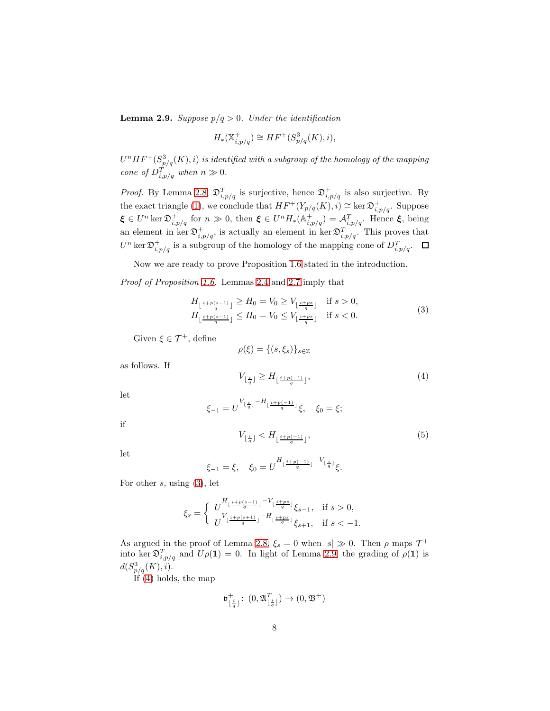<span id="page-7-1"></span>**Lemma 2.9.** Suppose  $p/q > 0$ . Under the identification

$$
H_*(\mathbb{X}_{i,p/q}^+) \cong HF^+(S^3_{p/q}(K), i),
$$

 $U^{n}HF^{+}(S^{3}_{p/q}(K),i)$  is identified with a subgroup of the homology of the mapping cone of  $D_{i,p/q}^T$  when  $n \gg 0$ .

*Proof.* By Lemma [2.8,](#page-6-0)  $\mathfrak{D}_{i,p/q}^T$  is surjective, hence  $\mathfrak{D}_{i,p/q}^+$  is also surjective. By the exact triangle [\(1\)](#page-4-0), we conclude that  $HF^+(Y_{p/q}(K), i) \cong \ker \mathfrak{D}_{i,p/q}^+$ . Suppose  $\xi \in U^n \ker \mathfrak{D}^+_{i,p/q}$  for  $n \gg 0$ , then  $\xi \in U^n H_*(\mathbb{A}^+_{i,p/q}) = \mathcal{A}^T_{i,p/q}$ . Hence  $\xi$ , being an element in ker  $\mathfrak{D}_{i,p/q}^+$ , is actually an element in ker  $\mathfrak{D}_{i,p/q}^T$ . This proves that  $U^n$  ker  $\mathfrak{D}^+_{i,p/q}$  is a subgroup of the homology of the mapping cone of  $D^T_{i,p/q}$ .

Now we are ready to prove Proposition [1.6](#page-2-1) stated in the introduction.

Proof of Proposition [1.6.](#page-2-1) Lemmas [2.4](#page-5-1) and [2.7](#page-6-1) imply that

 $\xi$ -

<span id="page-7-0"></span>
$$
H_{\lfloor \frac{i+p(s-1)}{q} \rfloor} \geq H_0 = V_0 \geq V_{\lfloor \frac{i+p s}{q} \rfloor} \quad \text{if } s > 0,
$$
  
\n
$$
H_{\lfloor \frac{i+p(s-1)}{q} \rfloor} \leq H_0 = V_0 \leq V_{\lfloor \frac{i+p s}{q} \rfloor} \quad \text{if } s < 0.
$$
\n
$$
(3)
$$

Given  $\xi \in \mathcal{T}^+$ , define

$$
\rho(\xi)=\{(s,\xi_s)\}_{s\in\mathbb{Z}}
$$

as follows. If

<span id="page-7-2"></span>
$$
V_{\lfloor \frac{i}{q} \rfloor} \ge H_{\lfloor \frac{i+p(-1)}{q} \rfloor},\tag{4}
$$

let

$$
_{-1}=U^{V_{\lfloor \frac{i}{q}\rfloor}-H_{\lfloor \frac{i+p(-1)}{q}\rfloor}}\xi,\quad \xi_{0}=\xi;
$$

if

<span id="page-7-3"></span>
$$
V_{\lfloor \frac{i}{q} \rfloor} < H_{\lfloor \frac{i+p(-1)}{q} \rfloor},\tag{5}
$$

let

$$
\xi_{-1} = \xi, \quad \xi_0 = U^{H_{\lfloor \frac{i+p(-1)}{q} \rfloor} - V_{\lfloor \frac{i}{q} \rfloor}} \xi.
$$

For other  $s$ , using  $(3)$ , let

$$
\xi_s=\left\{\begin{array}{ll} \displaystyle U\frac{H_{\lfloor\frac{i+p(s-1)}{q}\rfloor}-V_{\lfloor\frac{i+ps}{q}\rfloor}}{V_{\lfloor\frac{i+p(s+1)}{q}\rfloor}-H_{\lfloor\frac{i+ps}{q}\rfloor}}\xi_{s-1}, & \text{if }s>0,\\ U^{\text{v}_{\lfloor\frac{i+p(s+1)}{q}\rfloor}-H_{\lfloor\frac{i+ps}{q}\rfloor}}\xi_{s+1}, & \text{if }s<-1. \end{array}\right.
$$

As argued in the proof of Lemma [2.8,](#page-6-0)  $\xi_s = 0$  when  $|s| \gg 0$ . Then  $\rho$  maps  $\mathcal{T}^+$ into ker  $\mathfrak{D}_{i,p/q}^T$  and  $U\rho(1) = 0$ . In light of Lemma [2.9,](#page-7-1) the grading of  $\rho(1)$  is  $d(S_{p/q}^3(K), i).$ 

If [\(4\)](#page-7-2) holds, the map

$$
\mathfrak{v}^+_{\lfloor\frac{i}{q}\rfloor}\colon\, (0,\mathfrak{A}^{T}_{\lfloor\frac{i}{q}\rfloor})\to (0,\mathfrak{B}^+)
$$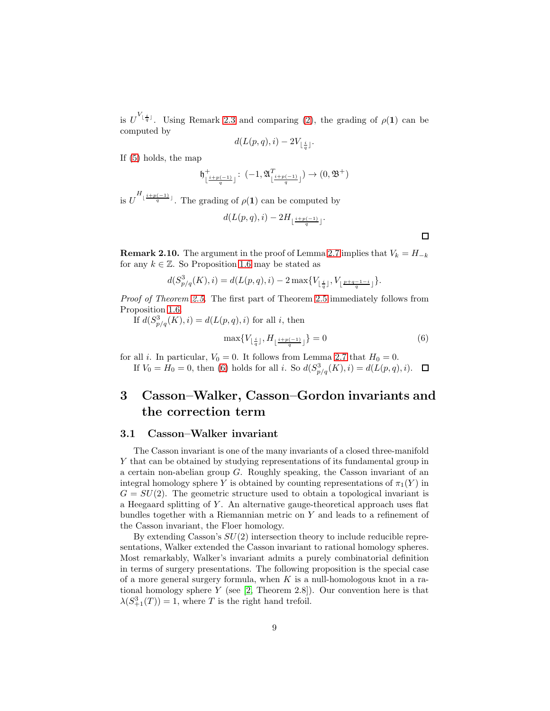is  $U^{V_{\lfloor \frac{i}{q} \rfloor}}$ . Using Remark [2.3](#page-3-1) and comparing [\(2\)](#page-4-1), the grading of  $\rho(1)$  can be computed by

$$
d(L(p,q),i) - 2V_{\lfloor \frac{i}{q} \rfloor}.
$$

If [\(5\)](#page-7-3) holds, the map

$$
\mathfrak{h}_{\lfloor \frac{i+p(-1)}{q}\rfloor}^{+}:\;(-1,\mathfrak{A}_{\lfloor \frac{i+p(-1)}{q}\rfloor}^{T})\to (0,\mathfrak{B}^{+})
$$

is  $U^{H_{\lfloor \frac{i+p(-1)}{q} \rfloor}}$ . The grading of  $\rho(1)$  can be computed by

h

$$
d(L(p,q),i)-2H_{\lfloor\frac{i+p(-1)}{q}\rfloor}.
$$

 $\Box$ 

**Remark 2.10.** The argument in the proof of Lemma [2.7](#page-6-1) implies that  $V_k = H_{-k}$ for any  $k \in \mathbb{Z}$ . So Proposition [1.6](#page-2-1) may be stated as

$$
d(S^3_{p/q}(K),i)=d(L(p,q),i)-2\max\{V_{\lfloor\frac{i}{q}\rfloor},V_{\lfloor\frac{p+q-1-i}{q}\rfloor}\}.
$$

Proof of Theorem [2.5.](#page-5-0) The first part of Theorem [2.5](#page-5-0) immediately follows from Proposition [1.6.](#page-2-1)

If  $d(S_{p/q}^3(K), i) = d(L(p, q), i)$  for all i, then

<span id="page-8-1"></span>
$$
\max\{V_{\lfloor\frac{i}{q}\rfloor},H_{\lfloor\frac{i+p(-1)}{q}\rfloor}\}=0\tag{6}
$$

for all *i*. In particular,  $V_0 = 0$ . It follows from Lemma [2.7](#page-6-1) that  $H_0 = 0$ . If  $V_0 = H_0 = 0$ , then [\(6\)](#page-8-1) holds for all *i*. So  $d(S_{p/q}^3(K), i) = d(L(p, q), i)$ .

# <span id="page-8-0"></span>3 Casson–Walker, Casson–Gordon invariants and the correction term

#### 3.1 Casson–Walker invariant

The Casson invariant is one of the many invariants of a closed three-manifold Y that can be obtained by studying representations of its fundamental group in a certain non-abelian group G. Roughly speaking, the Casson invariant of an integral homology sphere Y is obtained by counting representations of  $\pi_1(Y)$  in  $G = SU(2)$ . The geometric structure used to obtain a topological invariant is a Heegaard splitting of Y . An alternative gauge-theoretical approach uses flat bundles together with a Riemannian metric on Y and leads to a refinement of the Casson invariant, the Floer homology.

By extending Casson's  $SU(2)$  intersection theory to include reducible representations, Walker extended the Casson invariant to rational homology spheres. Most remarkably, Walker's invariant admits a purely combinatorial definition in terms of surgery presentations. The following proposition is the special case of a more general surgery formula, when  $K$  is a null-homologous knot in a rational homology sphere  $Y$  (see [\[2,](#page-17-4) Theorem 2.8]). Our convention here is that  $\lambda(S_{+1}^3(T)) = 1$ , where T is the right hand trefoil.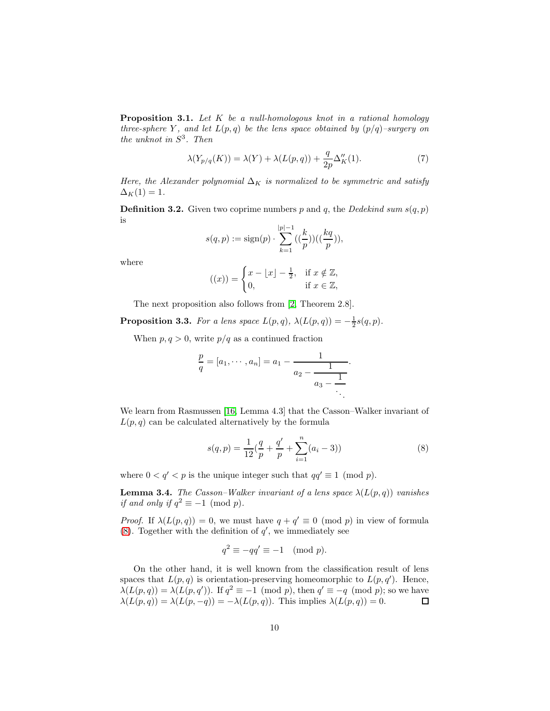Proposition 3.1. Let K be a null-homologous knot in a rational homology three-sphere Y, and let  $L(p,q)$  be the lens space obtained by  $(p/q)$ -surgery on the unknot in  $S^3$ . Then

<span id="page-9-1"></span>
$$
\lambda(Y_{p/q}(K)) = \lambda(Y) + \lambda(L(p,q)) + \frac{q}{2p}\Delta_K''(1). \tag{7}
$$

Here, the Alexander polynomial  $\Delta_K$  is normalized to be symmetric and satisfy  $\Delta_K(1) = 1.$ 

**Definition 3.2.** Given two coprime numbers p and q, the Dedekind sum  $s(q, p)$ is

$$
s(q, p) := \text{sign}(p) \cdot \sum_{k=1}^{|p|-1} \left( \left( \frac{k}{p} \right) \right) \left( \left( \frac{kq}{p} \right) \right),
$$

where

$$
((x)) = \begin{cases} x - \lfloor x \rfloor - \frac{1}{2}, & \text{if } x \notin \mathbb{Z}, \\ 0, & \text{if } x \in \mathbb{Z}, \end{cases}
$$

The next proposition also follows from [\[2,](#page-17-4) Theorem 2.8].

<span id="page-9-2"></span>**Proposition 3.3.** For a lens space  $L(p,q)$ ,  $\lambda(L(p,q)) = -\frac{1}{2}s(q,p)$ .

When  $p, q > 0$ , write  $p/q$  as a continued fraction

$$
\frac{p}{q} = [a_1, \cdots, a_n] = a_1 - \cfrac{1}{a_2 - \cfrac{1}{a_3 - \cfrac{1}{\ddots}}}.
$$

We learn from Rasmussen [\[16,](#page-18-3) Lemma 4.3] that the Casson–Walker invariant of  $L(p,q)$  can be calculated alternatively by the formula

<span id="page-9-0"></span>
$$
s(q, p) = \frac{1}{12}(\frac{q}{p} + \frac{q'}{p} + \sum_{i=1}^{n} (a_i - 3))
$$
\n(8)

where  $0 < q' < p$  is the unique integer such that  $qq' \equiv 1 \pmod{p}$ .

<span id="page-9-3"></span>**Lemma 3.4.** The Casson–Walker invariant of a lens space  $\lambda(L(p,q))$  vanishes if and only if  $q^2 \equiv -1 \pmod{p}$ .

*Proof.* If  $\lambda(L(p,q)) = 0$ , we must have  $q + q' \equiv 0 \pmod{p}$  in view of formula [\(8\)](#page-9-0). Together with the definition of  $q'$ , we immediately see

$$
q^2 \equiv -qq' \equiv -1 \pmod{p}.
$$

On the other hand, it is well known from the classification result of lens spaces that  $L(p,q)$  is orientation-preserving homeomorphic to  $L(p,q')$ . Hence,  $\lambda(L(p,q)) = \lambda(L(p,q'))$ . If  $q^2 \equiv -1 \pmod{p}$ , then  $q' \equiv -q \pmod{p}$ ; so we have  $\lambda(L(p,q)) = \lambda(L(p,-q)) = -\lambda(L(p,q)).$  This implies  $\lambda(L(p,q)) = 0.$  $\Box$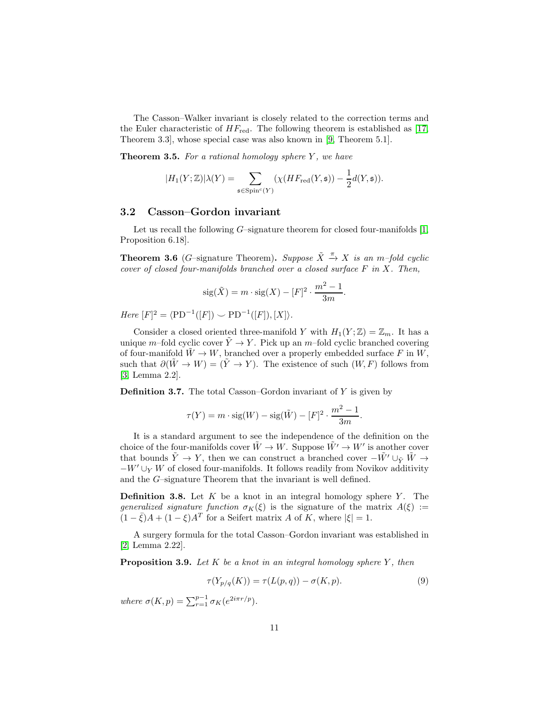The Casson–Walker invariant is closely related to the correction terms and the Euler characteristic of  $HF_{\text{red}}$ . The following theorem is established as [\[17,](#page-18-4) Theorem 3.3], whose special case was also known in [\[9,](#page-17-9) Theorem 5.1].

<span id="page-10-1"></span>**Theorem 3.5.** For a rational homology sphere  $Y$ , we have

$$
|H_1(Y;\mathbb{Z})|\lambda(Y) = \sum_{\mathfrak{s} \in \mathrm{Spin}^c(Y)} (\chi(HF_{\mathrm{red}}(Y,\mathfrak{s})) - \frac{1}{2}d(Y,\mathfrak{s})).
$$

#### 3.2 Casson–Gordon invariant

Let us recall the following  $G$ –signature theorem for closed four-manifolds  $[1,$ Proposition 6.18].

**Theorem 3.6** (G-signature Theorem). Suppose  $\tilde{X} \stackrel{\pi}{\rightarrow} X$  is an m-fold cyclic cover of closed four-manifolds branched over a closed surface  $F$  in  $X$ . Then,

$$
sig(\tilde{X}) = m \cdot sig(X) - [F]^2 \cdot \frac{m^2 - 1}{3m}.
$$

 $Here [F]^2 = \langle \text{PD}^{-1}([F]) \smile \text{PD}^{-1}([F]), [X] \rangle.$ 

Consider a closed oriented three-manifold Y with  $H_1(Y;\mathbb{Z}) = \mathbb{Z}_m$ . It has a unique m–fold cyclic cover  $\tilde{Y} \to Y$ . Pick up an m–fold cyclic branched covering of four-manifold  $\tilde{W} \to W$ , branched over a properly embedded surface F in W, such that  $\partial(\tilde{W} \to W) = (\tilde{Y} \to Y)$ . The existence of such  $(W, F)$  follows from [\[3,](#page-17-12) Lemma 2.2].

**Definition 3.7.** The total Casson–Gordon invariant of  $Y$  is given by

$$
\tau(Y) = m \cdot \text{sig}(W) - \text{sig}(\tilde{W}) - [F]^2 \cdot \frac{m^2 - 1}{3m}.
$$

It is a standard argument to see the independence of the definition on the choice of the four-manifolds cover  $\tilde{W} \to W$ . Suppose  $\tilde{W}' \to W'$  is another cover that bounds  $\tilde{Y} \to Y$ , then we can construct a branched cover  $-\tilde{W'} \cup_{\tilde{Y}} \tilde{W} \to$  $-W' \cup_Y W$  of closed four-manifolds. It follows readily from Novikov additivity and the G–signature Theorem that the invariant is well defined.

**Definition 3.8.** Let  $K$  be a knot in an integral homology sphere  $Y$ . The generalized signature function  $\sigma_K(\xi)$  is the signature of the matrix  $A(\xi) :=$  $(1 - \bar{\xi})A + (1 - \xi)A^T$  for a Seifert matrix A of K, where  $|\xi| = 1$ .

A surgery formula for the total Casson–Gordon invariant was established in [\[2,](#page-17-4) Lemma 2.22].

**Proposition 3.9.** Let K be a knot in an integral homology sphere Y, then

<span id="page-10-0"></span>
$$
\tau(Y_{p/q}(K)) = \tau(L(p,q)) - \sigma(K,p). \tag{9}
$$

where  $\sigma(K, p) = \sum_{r=1}^{p-1} \sigma_K(e^{2i\pi r/p}).$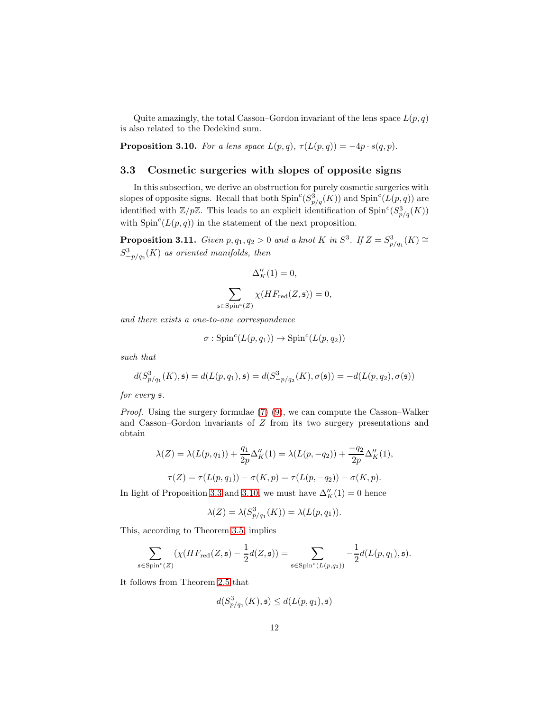Quite amazingly, the total Casson–Gordon invariant of the lens space  $L(p, q)$ is also related to the Dedekind sum.

<span id="page-11-0"></span>**Proposition 3.10.** For a lens space  $L(p,q)$ ,  $\tau(L(p,q)) = -4p \cdot s(q,p)$ .

#### 3.3 Cosmetic surgeries with slopes of opposite signs

In this subsection, we derive an obstruction for purely cosmetic surgeries with slopes of opposite signs. Recall that both  $\text{Spin}^c(S^3_{p/q}(K))$  and  $\text{Spin}^c(L(p,q))$  are identified with  $\mathbb{Z}/p\mathbb{Z}$ . This leads to an explicit identification of  $\text{Spin}^c(S^3_{p/q}(K))$ with  $Spin<sup>c</sup>(L(p,q))$  in the statement of the next proposition.

<span id="page-11-1"></span>**Proposition 3.11.** Given  $p, q_1, q_2 > 0$  and a knot K in  $S^3$ . If  $Z = S^3_{p/q_1}(K) \cong$  $S^3_{-p/q_2}(K)$  as oriented manifolds, then

$$
\Delta''_K(1) = 0,
$$
  

$$
\sum_{\mathfrak{s} \in Spin^c(Z)} \chi(HF_{\text{red}}(Z, \mathfrak{s})) = 0,
$$

and there exists a one-to-one correspondence

$$
\sigma: \mathrm{Spin}^{c}(L(p,q_{1})) \to \mathrm{Spin}^{c}(L(p,q_{2}))
$$

such that

$$
d(S_{p/q_1}^3(K), \mathfrak{s}) = d(L(p, q_1), \mathfrak{s}) = d(S_{-p/q_2}^3(K), \sigma(\mathfrak{s})) = -d(L(p, q_2), \sigma(\mathfrak{s}))
$$

for every s.

*Proof.* Using the surgery formulae  $(7)(9)$ , we can compute the Casson–Walker and Casson–Gordon invariants of Z from its two surgery presentations and obtain

$$
\lambda(Z) = \lambda(L(p, q_1)) + \frac{q_1}{2p} \Delta_K''(1) = \lambda(L(p, -q_2)) + \frac{-q_2}{2p} \Delta_K''(1),
$$

$$
\tau(Z) = \tau(L(p, q_1)) - \sigma(K, p) = \tau(L(p, -q_2)) - \sigma(K, p).
$$

In light of Proposition [3.3](#page-9-2) and [3.10,](#page-11-0) we must have  $\Delta''_K(1) = 0$  hence

$$
\lambda(Z) = \lambda(S_{p/q_1}^3(K)) = \lambda(L(p, q_1)).
$$

This, according to Theorem [3.5,](#page-10-1) implies

$$
\sum_{\mathfrak{s}\in\text{Spin}^c(Z)}(\chi(HF_{\text{red}}(Z,\mathfrak{s})-\frac{1}{2}d(Z,\mathfrak{s}))=\sum_{\mathfrak{s}\in\text{Spin}^c(L(p,q_1))}-\frac{1}{2}d(L(p,q_1),\mathfrak{s}).
$$

It follows from Theorem [2.5](#page-5-0) that

$$
d(S^3_{p/q_1}(K),\mathfrak{s})\leq d(L(p,q_1),\mathfrak{s})
$$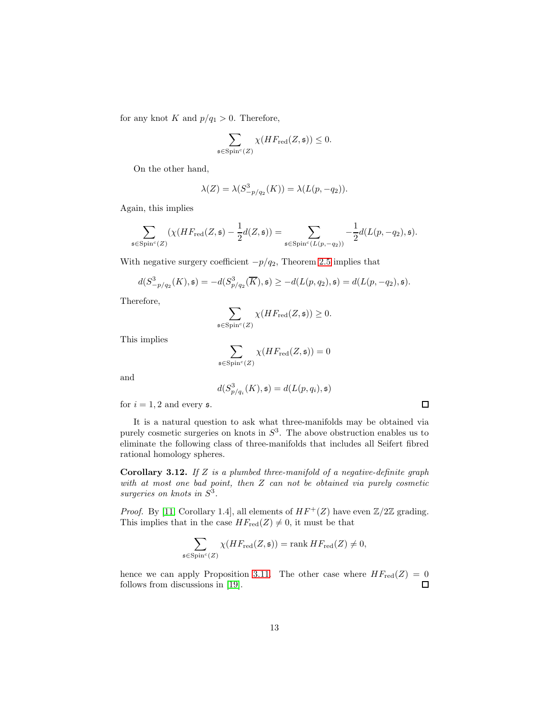for any knot K and  $p/q_1 > 0$ . Therefore,

$$
\sum_{\mathfrak{s}\in \mathrm{Spin}^c(Z)} \chi(HF_{\mathrm{red}}(Z,\mathfrak{s}))\leq 0.
$$

On the other hand,

$$
\lambda(Z) = \lambda(S^3_{-p/q_2}(K)) = \lambda(L(p, -q_2)).
$$

Again, this implies

$$
\sum_{\mathfrak{s}\in \mathrm{Spin}^c(Z)}(\chi(HF_{\mathrm{red}}(Z,\mathfrak{s})-\frac{1}{2}d(Z,\mathfrak{s}))=\sum_{\mathfrak{s}\in \mathrm{Spin}^c(L(p,-q_2))}-\frac{1}{2}d(L(p,-q_2),\mathfrak{s}).
$$

With negative surgery coefficient  $-p/q_2$ , Theorem [2.5](#page-5-0) implies that

$$
d(S^3_{-p/q_2}(K), \mathfrak{s}) = -d(S^3_{p/q_2}(\overline{K}), \mathfrak{s}) \geq -d(L(p, q_2), \mathfrak{s}) = d(L(p, -q_2), \mathfrak{s}).
$$

Therefore,

$$
\sum_{\mathfrak{s}\in \mathrm{Spin}^c(Z)} \chi(HF_{\mathrm{red}}(Z,\mathfrak{s}))\geq 0.
$$

This implies

$$
\sum_{\mathfrak{s}\in \mathrm{Spin}^c(Z)}\chi(HF_{\mathrm{red}}(Z,\mathfrak{s}))=0
$$

and

$$
d(S_{p/q_i}^3(K), \mathfrak{s}) = d(L(p, q_i), \mathfrak{s})
$$

for  $i = 1, 2$  and every  $\mathfrak{s}$ .

It is a natural question to ask what three-manifolds may be obtained via purely cosmetic surgeries on knots in  $S<sup>3</sup>$ . The above obstruction enables us to eliminate the following class of three-manifolds that includes all Seifert fibred rational homology spheres.

**Corollary 3.12.** If  $Z$  is a plumbed three-manifold of a negative-definite graph with at most one bad point, then Z can not be obtained via purely cosmetic surgeries on knots in  $S^3$ .

*Proof.* By [\[11,](#page-17-10) Corollary 1.4], all elements of  $HF^+(Z)$  have even  $\mathbb{Z}/2\mathbb{Z}$  grading. This implies that in the case  $HF_{red}(Z) \neq 0$ , it must be that

$$
\sum_{\mathfrak{s}\in \mathrm{Spin}^c(Z)} \chi(HF_{\mathrm{red}}(Z,\mathfrak{s})) = \mathrm{rank}\, HF_{\mathrm{red}}(Z) \neq 0,
$$

hence we can apply Proposition [3.11.](#page-11-1) The other case where  $HF_{red}(Z) = 0$  $\Box$ follows from discussions in [\[19\]](#page-18-0).

 $\Box$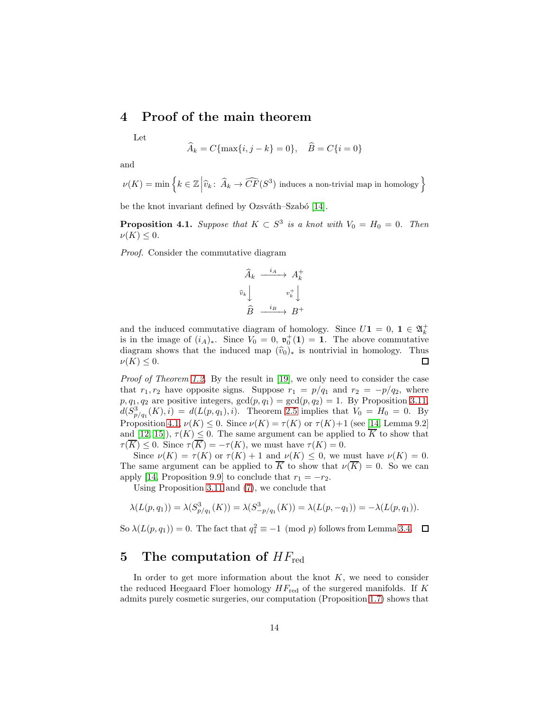# <span id="page-13-0"></span>4 Proof of the main theorem

Let

$$
\widehat{A}_k = C{\max\{i, j - k\}} = 0
$$
,  $\widehat{B} = C{\{i = 0\}}$ 

and

 $\nu(K) = \min \left\{ k \in \mathbb{Z} \middle| \widehat{v}_k : \widehat{A}_k \to \widehat{CF}(S^3) \text{ induces a non-trivial map in homology} \right\}$ 

be the knot invariant defined by Ozsváth–Szabó [\[14\]](#page-17-6).

<span id="page-13-2"></span>**Proposition 4.1.** Suppose that  $K \subset S^3$  is a knot with  $V_0 = H_0 = 0$ . Then  $\nu(K) \leq 0.$ 

Proof. Consider the commutative diagram

$$
\begin{array}{ccc}\n\widehat{A}_k & \xrightarrow{i_A} & A_k^+ \\
\widehat{v}_k & & v_k^+ \\
\widehat{B} & \xrightarrow{i_B} & B^+ \\
\end{array}
$$

and the induced commutative diagram of homology. Since  $U\mathbf{1} = 0, \ \mathbf{1} \in \mathfrak{A}_k^+$ is in the image of  $(i_A)_*$ . Since  $V_0 = 0$ ,  $\mathfrak{v}_0^+(1) = 1$ . The above commutative diagram shows that the induced map  $(\hat{v}_0)_*$  is nontrivial in homology. Thus  $\nu(K) < 0$ .  $\nu(K) \leq 0.$ 

Proof of Theorem [1.2.](#page-1-0) By the result in [\[19\]](#page-18-0), we only need to consider the case that  $r_1, r_2$  have opposite signs. Suppose  $r_1 = p/q_1$  and  $r_2 = -p/q_2$ , where  $p, q_1, q_2$  are positive integers,  $gcd(p, q_1) = gcd(p, q_2) = 1$ . By Proposition [3.11,](#page-11-1)  $d(S_{p/q_1}^3(K), i) = d(L(p, q_1), i)$ . Theorem [2.5](#page-5-0) implies that  $V_0 = H_0 = 0$ . By Proposition [4.1,](#page-13-2)  $\nu(K) \leq 0$ . Since  $\nu(K) = \tau(K)$  or  $\tau(K) + 1$  (see [\[14,](#page-17-6) Lemma 9.2] and [\[12,](#page-17-7) [15\]](#page-18-2)),  $\tau(K) \leq 0$ . The same argument can be applied to  $\overline{K}$  to show that  $\tau(\overline{K}) \leq 0$ . Since  $\tau(\overline{K}) = -\tau(K)$ , we must have  $\tau(K) = 0$ .

Since  $\nu(K) = \tau(K)$  or  $\tau(K) + 1$  and  $\nu(K) \leq 0$ , we must have  $\nu(K) = 0$ . The same argument can be applied to  $\overline{K}$  to show that  $\nu(\overline{K}) = 0$ . So we can apply [\[14,](#page-17-6) Proposition 9.9] to conclude that  $r_1 = -r_2$ .

Using Proposition [3.11](#page-11-1) and [\(7\)](#page-9-1), we conclude that

$$
\lambda(L(p,q_1)) = \lambda(S_{p/q_1}^3(K)) = \lambda(S_{-p/q_1}^3(K)) = \lambda(L(p,-q_1)) = -\lambda(L(p,q_1)).
$$

So  $\lambda(L(p,q_1)) = 0$ . The fact that  $q_1^2 \equiv -1 \pmod{p}$  follows from Lemma [3.4.](#page-9-3)

# <span id="page-13-1"></span>5 The computation of  $HF_{\text{red}}$

In order to get more information about the knot  $K$ , we need to consider the reduced Heegaard Floer homology  $HF_{\text{red}}$  of the surgered manifolds. If K admits purely cosmetic surgeries, our computation (Proposition [1.7\)](#page-2-2) shows that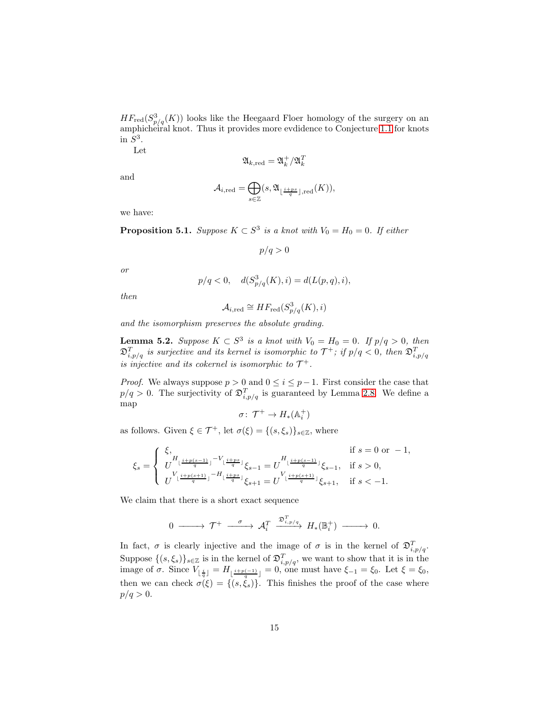$HF_{red}(S^3_{p/q}(K))$  looks like the Heegaard Floer homology of the surgery on an amphicheiral knot. Thus it provides more evdidence to Conjecture [1.1](#page-0-0) for knots in  $S^3$ .

Let

$$
\mathfrak{A}_{k,\mathrm{red}}=\mathfrak{A}_{k}^{+}/\mathfrak{A}_{k}^{T}
$$

and

$$
\mathcal{A}_{i,\mathrm{red}}=\bigoplus_{s\in\mathbb{Z}}(s,\mathfrak{A}_{\left\lfloor\frac{i+ps}{q}\right\rfloor,\mathrm{red}}(K)),
$$

we have:

<span id="page-14-0"></span>**Proposition 5.1.** Suppose  $K \subset S^3$  is a knot with  $V_0 = H_0 = 0$ . If either

p/q > 0

or

$$
p/q < 0
$$
,  $d(S_{p/q}^3(K), i) = d(L(p, q), i)$ ,

then

$$
\mathcal{A}_{i,\text{red}} \cong HF_{\text{red}}(S^3_{p/q}(K), i)
$$

and the isomorphism preserves the absolute grading.

<span id="page-14-1"></span>**Lemma 5.2.** Suppose  $K \subset S^3$  is a knot with  $V_0 = H_0 = 0$ . If  $p/q > 0$ , then  $\mathfrak{D}_{i,p/q}^T$  is surjective and its kernel is isomorphic to  $\mathcal{T}^+$ ; if  $p/q < 0$ , then  $\mathfrak{D}_{i,p/q}^T$ is injective and its cokernel is isomorphic to  $\mathcal{T}^+$ .

*Proof.* We always suppose  $p > 0$  and  $0 \le i \le p-1$ . First consider the case that  $p/q > 0$ . The surjectivity of  $\mathfrak{D}_{i,p/q}^T$  is guaranteed by Lemma [2.8.](#page-6-0) We define a map

$$
\sigma\colon\thinspace \mathcal{T}^+\to H_*(\mathbb{A}_i^+)
$$

as follows. Given  $\xi \in \mathcal{T}^+$ , let  $\sigma(\xi) = \{(s, \xi_s)\}_{s \in \mathbb{Z}}$ , where

$$
\xi_s = \begin{cases} \begin{array}{ll} \xi, & \text{if } s = 0 \text{ or } -1, \\ U^{H_{\lfloor \frac{i+p(s-1)}{q} \rfloor} - V_{\lfloor \frac{i+ps}{q} \rfloor}} \xi_{s-1} = U^{H_{\lfloor \frac{i+p(s-1)}{q} \rfloor}} \xi_{s-1}, & \text{if } s > 0, \\ U^{V_{\lfloor \frac{i+p(s+1)}{q} \rfloor} - H_{\lfloor \frac{i+ps}{q} \rfloor}} \xi_{s+1} = U^{V_{\lfloor \frac{i+p(s+1)}{q} \rfloor}} \xi_{s+1}, & \text{if } s < -1. \end{array} \end{cases}
$$

We claim that there is a short exact sequence

$$
0 \longrightarrow \mathcal{T}^+ \longrightarrow \mathcal{A}_i^T \xrightarrow{\mathfrak{D}_{i,p/q}^T} H_*(\mathbb{B}_i^+) \longrightarrow 0.
$$

In fact,  $\sigma$  is clearly injective and the image of  $\sigma$  is in the kernel of  $\mathfrak{D}_{i,p/q}^T$ . Suppose  $\{(s,\xi_s)\}_{s\in\mathbb{Z}}$  is in the kernel of  $\mathfrak{D}_{i,p/q}^T$ , we want to show that it is in the image of  $\sigma$ . Since  $V_{\lfloor \frac{i}{q} \rfloor} = H_{\lfloor \frac{i+p(-1)}{q} \rfloor} = 0$ , one must have  $\xi_{-1} = \xi_0$ . Let  $\xi = \xi_0$ , then we can check  $\sigma(\xi) = \{ (s, \xi_s) \}.$  This finishes the proof of the case where  $p/q > 0.$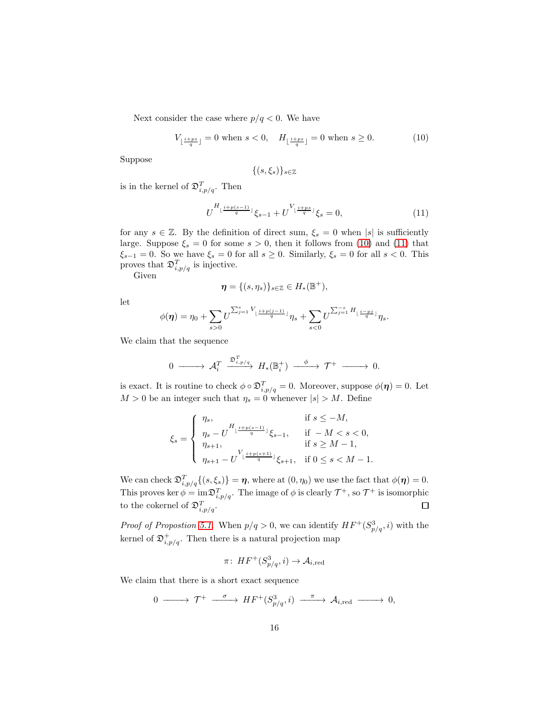Next consider the case where  $p/q < 0$ . We have

<span id="page-15-0"></span>
$$
V_{\lfloor \frac{i+ps}{q} \rfloor} = 0 \text{ when } s < 0, \quad H_{\lfloor \frac{i+ps}{q} \rfloor} = 0 \text{ when } s \ge 0. \tag{10}
$$

Suppose

$$
\{(s,\xi_s)\}_{s\in\mathbb{Z}}
$$

is in the kernel of  $\mathfrak{D}_{i,p/q}^T$ . Then

<span id="page-15-1"></span>
$$
U^{H_{\lfloor \frac{i+p(s-1)}{q} \rfloor}} \xi_{s-1} + U^{V_{\lfloor \frac{i+ps}{q} \rfloor}} \xi_s = 0, \tag{11}
$$

for any  $s \in \mathbb{Z}$ . By the definition of direct sum,  $\xi_s = 0$  when |s| is sufficiently large. Suppose  $\xi_s = 0$  for some  $s > 0$ , then it follows from [\(10\)](#page-15-0) and [\(11\)](#page-15-1) that  $\xi_{s-1} = 0$ . So we have  $\xi_s = 0$  for all  $s \ge 0$ . Similarly,  $\xi_s = 0$  for all  $s < 0$ . This proves that  $\mathfrak{D}_{i,p/q}^T$  is injective.

Given

$$
\boldsymbol{\eta} = \{ (s, \eta_s) \}_{s \in \mathbb{Z}} \in H_*(\mathbb{B}^+),
$$

let

$$
\phi(\eta) = \eta_0 + \sum_{s>0} U^{\sum_{j=1}^s V_{\lfloor \frac{i+p(j-1)}{q} \rfloor}} \eta_s + \sum_{s<0} U^{\sum_{j=1}^{-s} H_{\lfloor \frac{i-pj}{q} \rfloor}} \eta_s.
$$

We claim that the sequence

$$
0 \longrightarrow \mathcal{A}_{i}^{T} \xrightarrow{\mathfrak{D}_{i,p/q}^{T}} H_{*}(\mathbb{B}_{i}^{+}) \xrightarrow{\phi} \mathcal{T}^{+} \longrightarrow 0.
$$

is exact. It is routine to check  $\phi \circ \mathfrak{D}_{i,p/q}^T = 0$ . Moreover, suppose  $\phi(\eta) = 0$ . Let  $M > 0$  be an integer such that  $\eta_s = 0$  whenever  $|s| > M$ . Define

$$
\xi_s = \left\{ \begin{array}{ll} \eta_s, & \text{if } s \leq -M,\\ \eta_s - U^{H_{\lfloor \frac{i+p(s-1)}{q} \rfloor}} \xi_{s-1}, & \text{if } -M < s < 0,\\ \eta_{s+1}, & \text{if } s \geq M-1,\\ \eta_{s+1} - U^{V_{\lfloor \frac{i+p(s+1)}{q} \rfloor}} \xi_{s+1}, & \text{if } 0 \leq s < M-1. \end{array} \right.
$$

We can check  $\mathfrak{D}_{i,p/q}^T\{(s,\xi_s)\} = \eta$ , where at  $(0,\eta_0)$  we use the fact that  $\phi(\eta) = 0$ . This proves ker  $\phi = \text{im} \mathfrak{D}_{i,p/q}^T$ . The image of  $\phi$  is clearly  $\mathcal{T}^+$ , so  $\mathcal{T}^+$  is isomorphic to the cokernel of  $\mathfrak{D}_{i,p/q}^T$ . 口

*Proof of Propostion [5.1.](#page-14-0)* When  $p/q > 0$ , we can identify  $HF^+(S^3_{p/q}, i)$  with the kernel of  $\mathfrak{D}^+_{i,p/q}$ . Then there is a natural projection map

$$
\pi\colon\mathit{HF}^+(S^3_{p/q},i)\to\mathcal{A}_{i,\mathrm{red}}
$$

We claim that there is a short exact sequence

$$
0 \longrightarrow \mathcal{T}^+ \longrightarrow H\mathit{F}^+(S^3_{p/q}, i) \longrightarrow \mathcal{A}_{i, \mathrm{red}} \longrightarrow 0,
$$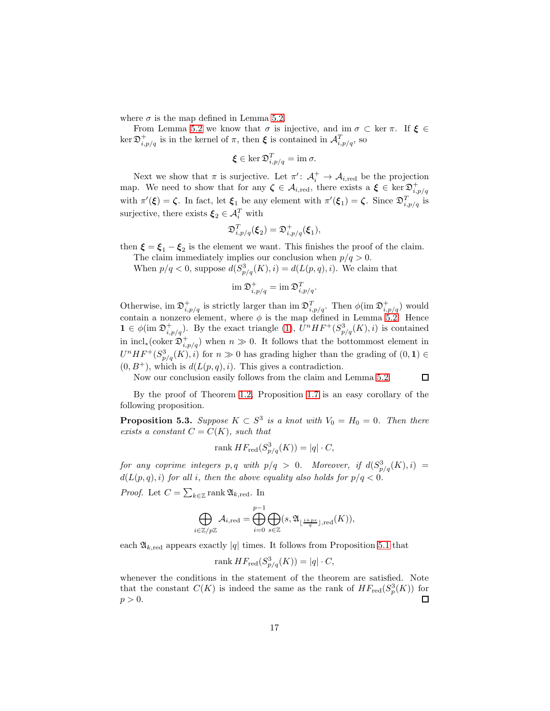where  $\sigma$  is the map defined in Lemma [5.2.](#page-14-1)

From Lemma [5.2](#page-14-1) we know that  $\sigma$  is injective, and im  $\sigma \subset \text{ker } \pi$ . If  $\xi \in$  $\ker \mathfrak{D}_{i,p/q}^+$  is in the kernel of  $\pi$ , then  $\xi$  is contained in  $\mathcal{A}_{i,p/q}^T$ , so

$$
\boldsymbol{\xi} \in \ker \mathfrak{D}_{i,p/q}^T = \text{im } \sigma.
$$

Next we show that  $\pi$  is surjective. Let  $\pi' : A_i^+ \to A_{i,\text{red}}$  be the projection map. We need to show that for any  $\zeta \in \mathcal{A}_{i,\text{red}}$ , there exists a  $\xi \in \text{ker } \mathfrak{D}^+_{i,p/q}$ with  $\pi'(\xi) = \zeta$ . In fact, let  $\xi_1$  be any element with  $\pi'(\xi_1) = \zeta$ . Since  $\mathfrak{D}_{i,p/q}^T$  is surjective, there exists  $\xi_2 \in \mathcal{A}_i^T$  with

$$
\mathfrak{D}_{i,p/q}^T(\xi_2) = \mathfrak{D}_{i,p/q}^+(\xi_1),
$$

then  $\xi = \xi_1 - \xi_2$  is the element we want. This finishes the proof of the claim.

The claim immediately implies our conclusion when  $p/q > 0$ .

When  $p/q < 0$ , suppose  $d(S_{p/q}^3(K), i) = d(L(p, q), i)$ . We claim that

$$
\operatorname{im} \mathfrak D^+_{i,p/q} = \operatorname{im} \mathfrak D^T_{i,p/q}.
$$

Otherwise, im  $\mathfrak{D}_{i,p/q}^+$  is strictly larger than im  $\mathfrak{D}_{i,p/q}^T$ . Then  $\phi(\text{im }\mathfrak{D}_{i,p/q}^+)$  would contain a nonzero element, where  $\phi$  is the map defined in Lemma [5.2.](#page-14-1) Hence  $1 \in \phi(\text{im }\mathfrak{D}^+_{i,p/q})$ . By the exact triangle [\(1\)](#page-4-0),  $U^nHF^+(S^3_{p/q}(K), i)$  is contained in incl<sub>∗</sub>(coker  $\mathfrak{D}^+_{i,p/q}$ ) when  $n \gg 0$ . It follows that the bottommost element in  $U^{n}HF^{+}(S^{3}_{p/q}(K), i)$  for  $n \gg 0$  has grading higher than the grading of  $(0, 1) \in$  $(0, B^+)$ , which is  $d(L(p,q), i)$ . This gives a contradiction.

Now our conclusion easily follows from the claim and Lemma [5.2.](#page-14-1)

$$
\Box
$$

By the proof of Theorem [1.2,](#page-1-0) Proposition [1.7](#page-2-2) is an easy corollary of the following proposition.

**Proposition 5.3.** Suppose  $K \subset S^3$  is a knot with  $V_0 = H_0 = 0$ . Then there exists a constant  $C = C(K)$ , such that

$$
rank HF_{red}(S^3_{p/q}(K)) = |q| \cdot C,
$$

for any coprime integers  $p, q$  with  $p/q > 0$ . Moreover, if  $d(S_{p/q}^3(K), i) =$  $d(L(p,q), i)$  for all i, then the above equality also holds for  $p/q < 0$ .

*Proof.* Let  $C = \sum_{k \in \mathbb{Z}} \text{rank } \mathfrak{A}_{k, \text{red}}$ . In

$$
\bigoplus_{i \in \mathbb{Z}/p\mathbb{Z}} \mathcal{A}_{i,\mathrm{red}} = \bigoplus_{i=0}^{p-1} \bigoplus_{s \in \mathbb{Z}} (s, \mathfrak{A}_{\lfloor \frac{i+ps}{q} \rfloor,\mathrm{red}}(K)),
$$

each  $\mathfrak{A}_{k,\mathrm{red}}$  appears exactly |q| times. It follows from Proposition [5.1](#page-14-0) that

$$
rank HF_{red}(S^3_{p/q}(K)) = |q| \cdot C,
$$

whenever the conditions in the statement of the theorem are satisfied. Note that the constant  $C(K)$  is indeed the same as the rank of  $HF_{red}(S_p^3(K))$  for  $p > 0$ .  $\Box$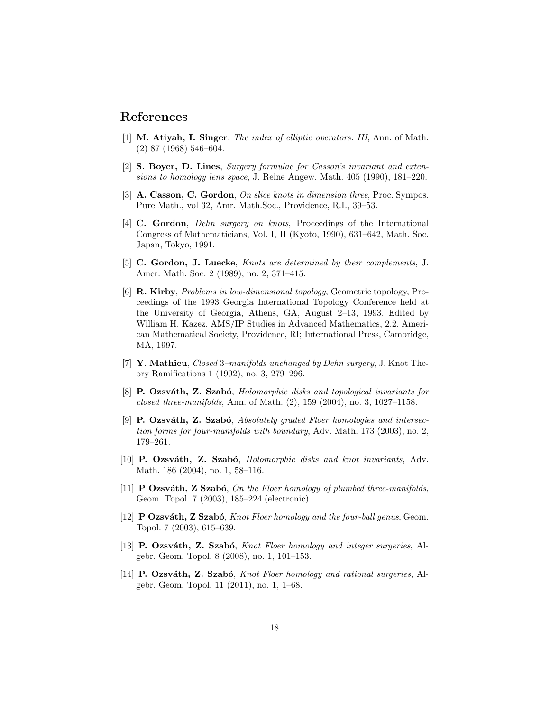## <span id="page-17-11"></span>References

- <span id="page-17-4"></span>[1] M. Atiyah, I. Singer, The index of elliptic operators. III, Ann. of Math. (2) 87 (1968) 546–604.
- <span id="page-17-12"></span>[2] S. Boyer, D. Lines, Surgery formulae for Casson's invariant and extensions to homology lens space, J. Reine Angew. Math. 405 (1990), 181–220.
- <span id="page-17-1"></span>[3] A. Casson, C. Gordon, On slice knots in dimension three, Proc. Sympos. Pure Math., vol 32, Amr. Math.Soc., Providence, R.I., 39–53.
- [4] C. Gordon, Dehn surgery on knots, Proceedings of the International Congress of Mathematicians, Vol. I, II (Kyoto, 1990), 631–642, Math. Soc. Japan, Tokyo, 1991.
- <span id="page-17-3"></span>[5] C. Gordon, J. Luecke, Knots are determined by their complements, J. Amer. Math. Soc. 2 (1989), no. 2, 371–415.
- <span id="page-17-2"></span>[6] R. Kirby, Problems in low-dimensional topology, Geometric topology, Proceedings of the 1993 Georgia International Topology Conference held at the University of Georgia, Athens, GA, August 2–13, 1993. Edited by William H. Kazez. AMS/IP Studies in Advanced Mathematics, 2.2. American Mathematical Society, Providence, RI; International Press, Cambridge, MA, 1997.
- <span id="page-17-0"></span>[7] **Y. Mathieu**, *Closed 3–manifolds unchanged by Dehn surgery*, J. Knot Theory Ramifications 1 (1992), no. 3, 279–296.
- <span id="page-17-5"></span>[8] P. Ozsváth, Z. Szabó, Holomorphic disks and topological invariants for closed three-manifolds, Ann. of Math.  $(2)$ , 159  $(2004)$ , no. 3, 1027–1158.
- <span id="page-17-9"></span>[9] P. Ozsváth, Z. Szabó, Absolutely graded Floer homologies and intersection forms for four-manifolds with boundary, Adv. Math. 173 (2003), no. 2, 179–261.
- [10] P. Ozsváth, Z. Szabó, Holomorphic disks and knot invariants, Adv. Math. 186 (2004), no. 1, 58–116.
- <span id="page-17-10"></span>[11] **P** Ozsváth, Z Szabó, On the Floer homology of plumbed three-manifolds, Geom. Topol. 7 (2003), 185–224 (electronic).
- <span id="page-17-7"></span>[12] **P Ozsváth, Z Szabó**, *Knot Floer homology and the four-ball genus*, Geom. Topol. 7 (2003), 615–639.
- <span id="page-17-8"></span>[13] P. Ozsváth, Z. Szabó, Knot Floer homology and integer surgeries, Algebr. Geom. Topol. 8 (2008), no. 1, 101–153.
- <span id="page-17-6"></span>[14] **P. Ozsváth, Z. Szabó**, *Knot Floer homology and rational surgeries*, Algebr. Geom. Topol. 11 (2011), no. 1, 1–68.